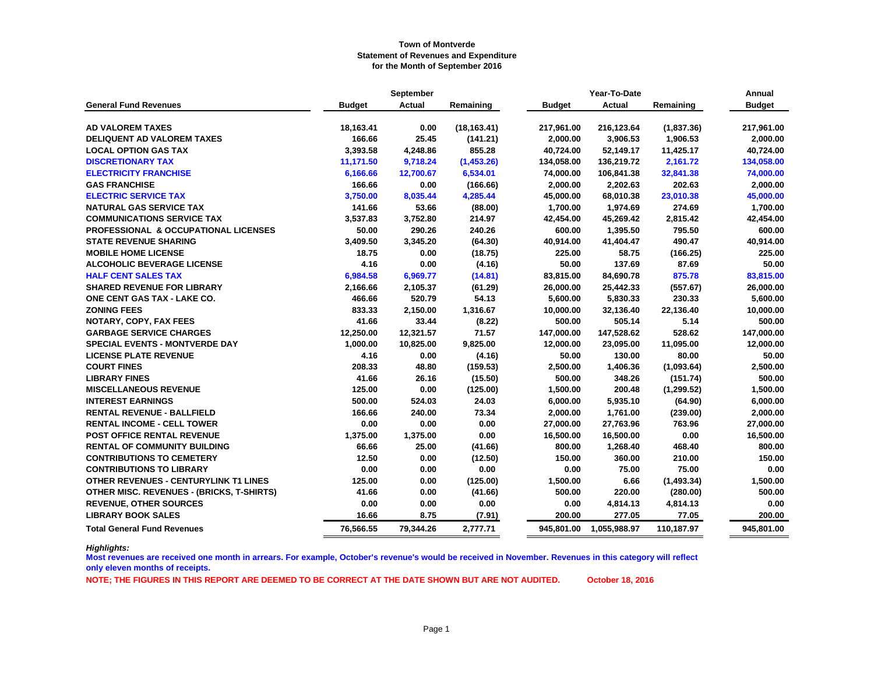|                                                  |               | September     |              |               | Year-To-Date |             | Annual        |
|--------------------------------------------------|---------------|---------------|--------------|---------------|--------------|-------------|---------------|
| <b>General Fund Revenues</b>                     | <b>Budget</b> | <b>Actual</b> | Remaining    | <b>Budget</b> | Actual       | Remaining   | <b>Budget</b> |
| <b>AD VALOREM TAXES</b>                          | 18,163.41     | 0.00          | (18, 163.41) | 217,961.00    | 216,123.64   | (1,837.36)  | 217,961.00    |
| <b>DELIQUENT AD VALOREM TAXES</b>                | 166.66        | 25.45         | (141.21)     | 2,000.00      | 3,906.53     | 1,906.53    | 2,000.00      |
| <b>LOCAL OPTION GAS TAX</b>                      | 3,393.58      | 4,248.86      | 855.28       | 40,724.00     | 52,149.17    | 11,425.17   | 40,724.00     |
| <b>DISCRETIONARY TAX</b>                         | 11,171.50     | 9,718.24      | (1,453.26)   | 134,058.00    | 136,219.72   | 2,161.72    | 134,058.00    |
| <b>ELECTRICITY FRANCHISE</b>                     | 6,166.66      | 12,700.67     | 6,534.01     | 74,000.00     | 106,841.38   | 32,841.38   | 74,000.00     |
| <b>GAS FRANCHISE</b>                             | 166.66        | 0.00          | (166.66)     | 2,000.00      | 2,202.63     | 202.63      | 2,000.00      |
| <b>ELECTRIC SERVICE TAX</b>                      | 3,750.00      | 8,035.44      | 4,285.44     | 45,000.00     | 68,010.38    | 23,010.38   | 45,000.00     |
| <b>NATURAL GAS SERVICE TAX</b>                   | 141.66        | 53.66         | (88.00)      | 1,700.00      | 1,974.69     | 274.69      | 1,700.00      |
| <b>COMMUNICATIONS SERVICE TAX</b>                | 3,537.83      | 3,752.80      | 214.97       | 42,454.00     | 45,269.42    | 2,815.42    | 42,454.00     |
| <b>PROFESSIONAL &amp; OCCUPATIONAL LICENSES</b>  | 50.00         | 290.26        | 240.26       | 600.00        | 1,395.50     | 795.50      | 600.00        |
| <b>STATE REVENUE SHARING</b>                     | 3,409.50      | 3,345.20      | (64.30)      | 40,914.00     | 41,404.47    | 490.47      | 40,914.00     |
| <b>MOBILE HOME LICENSE</b>                       | 18.75         | 0.00          | (18.75)      | 225.00        | 58.75        | (166.25)    | 225.00        |
| <b>ALCOHOLIC BEVERAGE LICENSE</b>                | 4.16          | 0.00          | (4.16)       | 50.00         | 137.69       | 87.69       | 50.00         |
| <b>HALF CENT SALES TAX</b>                       | 6,984.58      | 6,969.77      | (14.81)      | 83,815.00     | 84,690.78    | 875.78      | 83,815.00     |
| <b>SHARED REVENUE FOR LIBRARY</b>                | 2,166.66      | 2,105.37      | (61.29)      | 26,000.00     | 25,442.33    | (557.67)    | 26,000.00     |
| <b>ONE CENT GAS TAX - LAKE CO.</b>               | 466.66        | 520.79        | 54.13        | 5,600.00      | 5,830.33     | 230.33      | 5,600.00      |
| <b>ZONING FEES</b>                               | 833.33        | 2,150.00      | 1,316.67     | 10,000.00     | 32,136.40    | 22,136.40   | 10,000.00     |
| <b>NOTARY, COPY, FAX FEES</b>                    | 41.66         | 33.44         | (8.22)       | 500.00        | 505.14       | 5.14        | 500.00        |
| <b>GARBAGE SERVICE CHARGES</b>                   | 12,250.00     | 12,321.57     | 71.57        | 147,000.00    | 147,528.62   | 528.62      | 147,000.00    |
| <b>SPECIAL EVENTS - MONTVERDE DAY</b>            | 1,000.00      | 10,825.00     | 9,825.00     | 12,000.00     | 23,095.00    | 11,095.00   | 12,000.00     |
| <b>LICENSE PLATE REVENUE</b>                     | 4.16          | 0.00          | (4.16)       | 50.00         | 130.00       | 80.00       | 50.00         |
| <b>COURT FINES</b>                               | 208.33        | 48.80         | (159.53)     | 2,500.00      | 1,406.36     | (1,093.64)  | 2,500.00      |
| <b>LIBRARY FINES</b>                             | 41.66         | 26.16         | (15.50)      | 500.00        | 348.26       | (151.74)    | 500.00        |
| <b>MISCELLANEOUS REVENUE</b>                     | 125.00        | 0.00          | (125.00)     | 1,500.00      | 200.48       | (1, 299.52) | 1,500.00      |
| <b>INTEREST EARNINGS</b>                         | 500.00        | 524.03        | 24.03        | 6,000.00      | 5,935.10     | (64.90)     | 6,000.00      |
| <b>RENTAL REVENUE - BALLFIELD</b>                | 166.66        | 240.00        | 73.34        | 2,000.00      | 1,761.00     | (239.00)    | 2,000.00      |
| <b>RENTAL INCOME - CELL TOWER</b>                | 0.00          | 0.00          | 0.00         | 27,000.00     | 27,763.96    | 763.96      | 27,000.00     |
| POST OFFICE RENTAL REVENUE                       | 1,375.00      | 1,375.00      | 0.00         | 16,500.00     | 16,500.00    | 0.00        | 16,500.00     |
| <b>RENTAL OF COMMUNITY BUILDING</b>              | 66.66         | 25.00         | (41.66)      | 800.00        | 1,268.40     | 468.40      | 800.00        |
| <b>CONTRIBUTIONS TO CEMETERY</b>                 | 12.50         | 0.00          | (12.50)      | 150.00        | 360.00       | 210.00      | 150.00        |
| <b>CONTRIBUTIONS TO LIBRARY</b>                  | 0.00          | 0.00          | 0.00         | 0.00          | 75.00        | 75.00       | 0.00          |
| OTHER REVENUES - CENTURYLINK T1 LINES            | 125.00        | 0.00          | (125.00)     | 1,500.00      | 6.66         | (1,493.34)  | 1,500.00      |
| <b>OTHER MISC. REVENUES - (BRICKS, T-SHIRTS)</b> | 41.66         | 0.00          | (41.66)      | 500.00        | 220.00       | (280.00)    | 500.00        |
| <b>REVENUE, OTHER SOURCES</b>                    | 0.00          | 0.00          | 0.00         | 0.00          | 4,814.13     | 4,814.13    | 0.00          |
| <b>LIBRARY BOOK SALES</b>                        | 16.66         | 8.75          | (7.91)       | 200.00        | 277.05       | 77.05       | 200.00        |
| <b>Total General Fund Revenues</b>               | 76,566.55     | 79,344.26     | 2,777.71     | 945,801.00    | 1,055,988.97 | 110,187.97  | 945,801.00    |

*Highlights:*

**Most revenues are received one month in arrears. For example, October's revenue's would be received in November. Revenues in this category will reflect only eleven months of receipts.**

**NOTE; THE FIGURES IN THIS REPORT ARE DEEMED TO BE CORRECT AT THE DATE SHOWN BUT ARE NOT AUDITED. October 18, 2016**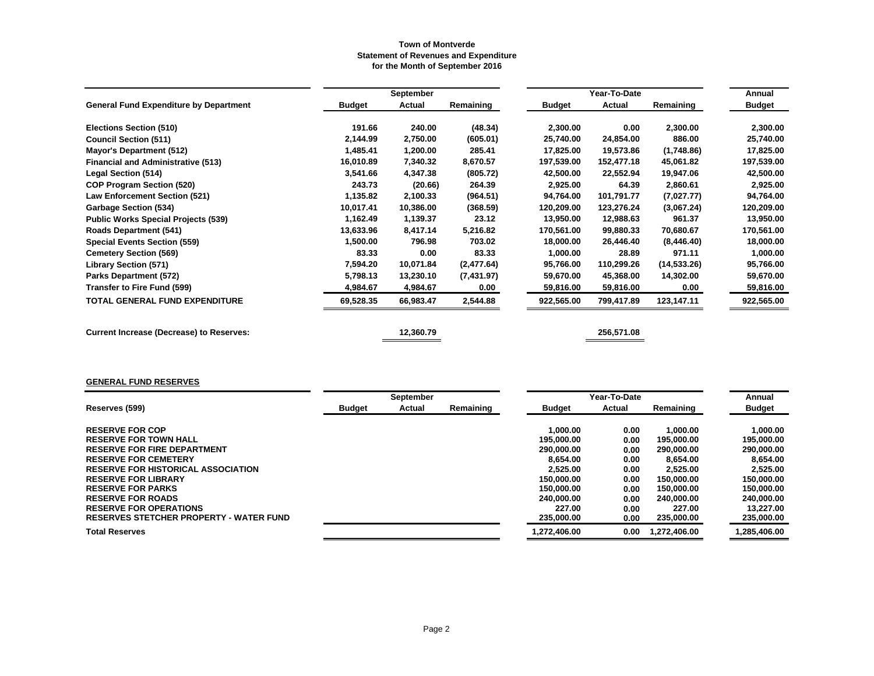|                                                 |               | September |            |               | Year-To-Date  |              | Annual        |
|-------------------------------------------------|---------------|-----------|------------|---------------|---------------|--------------|---------------|
| <b>General Fund Expenditure by Department</b>   | <b>Budget</b> | Actual    | Remaining  | <b>Budget</b> | <b>Actual</b> | Remaining    | <b>Budget</b> |
| <b>Elections Section (510)</b>                  | 191.66        | 240.00    | (48.34)    | 2,300.00      | 0.00          | 2,300.00     | 2,300.00      |
| <b>Council Section (511)</b>                    | 2,144.99      | 2,750.00  | (605.01)   | 25,740.00     | 24,854.00     | 886.00       | 25,740.00     |
| Mayor's Department (512)                        | 1,485.41      | 1,200.00  | 285.41     | 17,825.00     | 19,573.86     | (1,748.86)   | 17,825.00     |
| <b>Financial and Administrative (513)</b>       | 16,010.89     | 7,340.32  | 8,670.57   | 197,539.00    | 152,477.18    | 45,061.82    | 197,539.00    |
| <b>Legal Section (514)</b>                      | 3,541.66      | 4,347.38  | (805.72)   | 42,500.00     | 22,552.94     | 19,947.06    | 42,500.00     |
| <b>COP Program Section (520)</b>                | 243.73        | (20.66)   | 264.39     | 2,925.00      | 64.39         | 2,860.61     | 2,925.00      |
| <b>Law Enforcement Section (521)</b>            | 1,135.82      | 2,100.33  | (964.51)   | 94,764.00     | 101,791.77    | (7,027.77)   | 94,764.00     |
| <b>Garbage Section (534)</b>                    | 10,017.41     | 10,386.00 | (368.59)   | 120,209.00    | 123,276.24    | (3,067.24)   | 120,209.00    |
| <b>Public Works Special Projects (539)</b>      | 1,162.49      | 1,139.37  | 23.12      | 13,950.00     | 12,988.63     | 961.37       | 13,950.00     |
| <b>Roads Department (541)</b>                   | 13,633.96     | 8,417.14  | 5,216.82   | 170,561.00    | 99,880.33     | 70,680.67    | 170,561.00    |
| <b>Special Events Section (559)</b>             | 1,500.00      | 796.98    | 703.02     | 18,000.00     | 26,446.40     | (8,446.40)   | 18,000.00     |
| <b>Cemetery Section (569)</b>                   | 83.33         | 0.00      | 83.33      | 1,000.00      | 28.89         | 971.11       | 1,000.00      |
| <b>Library Section (571)</b>                    | 7,594.20      | 10,071.84 | (2,477.64) | 95,766.00     | 110,299.26    | (14, 533.26) | 95,766.00     |
| <b>Parks Department (572)</b>                   | 5,798.13      | 13,230.10 | (7,431.97) | 59,670.00     | 45,368.00     | 14,302.00    | 59,670.00     |
| Transfer to Fire Fund (599)                     | 4,984.67      | 4,984.67  | 0.00       | 59,816.00     | 59,816.00     | 0.00         | 59,816.00     |
| <b>TOTAL GENERAL FUND EXPENDITURE</b>           | 69,528.35     | 66,983.47 | 2,544.88   | 922,565.00    | 799,417.89    | 123,147.11   | 922,565.00    |
| <b>Current Increase (Decrease) to Reserves:</b> |               | 12,360.79 |            |               | 256,571.08    |              |               |

# **GENERAL FUND RESERVES**

|                                                |               | September |           |               | Year-To-Date |             | Annual        |
|------------------------------------------------|---------------|-----------|-----------|---------------|--------------|-------------|---------------|
| Reserves (599)                                 | <b>Budget</b> | Actual    | Remaining | <b>Budget</b> | Actual       | Remaining   | <b>Budget</b> |
|                                                |               |           |           |               |              |             |               |
| <b>RESERVE FOR COP</b>                         |               |           |           | 1.000.00      | 0.00         | 1.000.00    | 1.000.00      |
| <b>RESERVE FOR TOWN HALL</b>                   |               |           |           | 195.000.00    | 0.00         | 195,000.00  | 195,000.00    |
| <b>RESERVE FOR FIRE DEPARTMENT</b>             |               |           |           | 290,000,00    | 0.00         | 290,000,00  | 290,000.00    |
| <b>RESERVE FOR CEMETERY</b>                    |               |           |           | 8.654.00      | 0.00         | 8.654.00    | 8.654.00      |
| <b>RESERVE FOR HISTORICAL ASSOCIATION</b>      |               |           |           | 2.525.00      | 0.00         | 2.525.00    | 2.525.00      |
| <b>RESERVE FOR LIBRARY</b>                     |               |           |           | 150.000.00    | 0.00         | 150,000,00  | 150,000.00    |
| <b>RESERVE FOR PARKS</b>                       |               |           |           | 150,000,00    | 0.00         | 150.000.00  | 150,000.00    |
| <b>RESERVE FOR ROADS</b>                       |               |           |           | 240.000.00    | 0.00         | 240,000,00  | 240,000.00    |
| <b>RESERVE FOR OPERATIONS</b>                  |               |           |           | 227.00        | 0.00         | 227.00      | 13.227.00     |
| <b>RESERVES STETCHER PROPERTY - WATER FUND</b> |               |           |           | 235,000,00    | 0.00         | 235,000.00  | 235,000.00    |
| <b>Total Reserves</b>                          |               |           |           | 1.272.406.00  | 0.00         | .272.406.00 | 1,285,406.00  |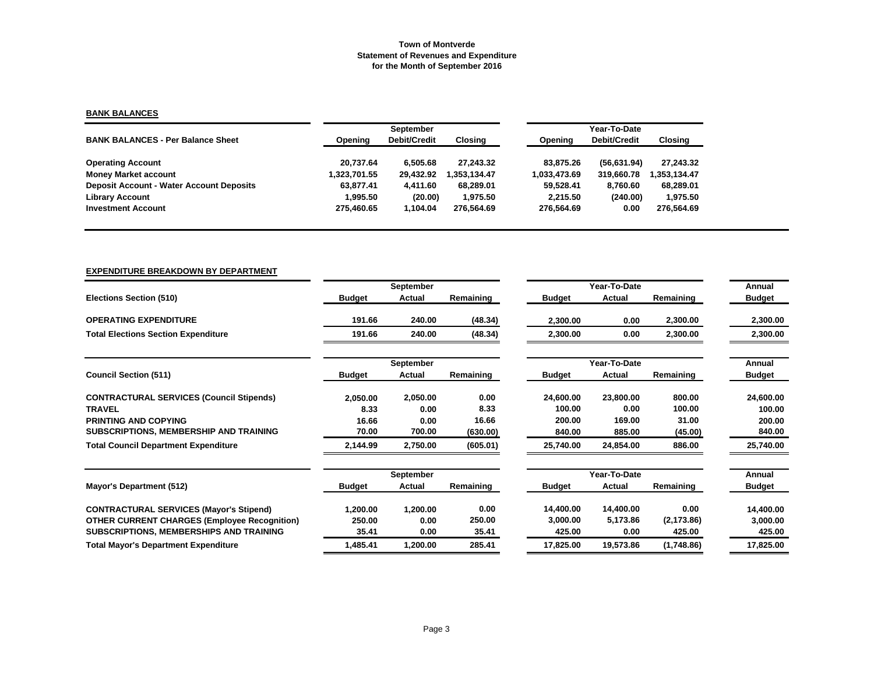# **BANK BALANCES**

|                                                 |              | September    |              |              | Year-To-Date |               |
|-------------------------------------------------|--------------|--------------|--------------|--------------|--------------|---------------|
| <b>BANK BALANCES - Per Balance Sheet</b>        | Opening      | Debit/Credit | Closing      | Opening      | Debit/Credit | Closing       |
| <b>Operating Account</b>                        | 20.737.64    | 6.505.68     | 27.243.32    | 83.875.26    | (56, 631.94) | 27,243.32     |
| <b>Money Market account</b>                     | 1,323,701.55 | 29.432.92    | 1.353.134.47 | 1.033.473.69 | 319,660.78   | 353,134.47. [ |
| <b>Deposit Account - Water Account Deposits</b> | 63.877.41    | 4.411.60     | 68,289.01    | 59,528.41    | 8.760.60     | 68,289.01     |
| <b>Library Account</b>                          | 1.995.50     | (20.00)      | 1.975.50     | 2.215.50     | (240.00)     | 1,975.50      |
| <b>Investment Account</b>                       | 275.460.65   | l.104.04     | 276.564.69   | 276.564.69   | 0.00         | 276.564.69    |

#### **EXPENDITURE BREAKDOWN BY DEPARTMENT**

|                                                     |               | September |           |               | Year-To-Date |             | Annual        |
|-----------------------------------------------------|---------------|-----------|-----------|---------------|--------------|-------------|---------------|
| <b>Elections Section (510)</b>                      | <b>Budget</b> | Actual    | Remaining | <b>Budget</b> | Actual       | Remaining   | <b>Budget</b> |
| <b>OPERATING EXPENDITURE</b>                        | 191.66        | 240.00    | (48.34)   | 2,300.00      | 0.00         | 2,300.00    | 2,300.00      |
| <b>Total Elections Section Expenditure</b>          | 191.66        | 240.00    | (48.34)   | 2,300.00      | 0.00         | 2,300.00    | 2,300.00      |
|                                                     |               | September |           |               | Year-To-Date |             | Annual        |
| <b>Council Section (511)</b>                        | <b>Budget</b> | Actual    | Remaining | <b>Budget</b> | Actual       | Remaining   | <b>Budget</b> |
| <b>CONTRACTURAL SERVICES (Council Stipends)</b>     | 2,050.00      | 2,050.00  | 0.00      | 24,600.00     | 23,800.00    | 800.00      | 24,600.00     |
| <b>TRAVEL</b>                                       | 8.33          | 0.00      | 8.33      | 100.00        | 0.00         | 100.00      | 100.00        |
| <b>PRINTING AND COPYING</b>                         | 16.66         | 0.00      | 16.66     | 200.00        | 169.00       | 31.00       | 200.00        |
| SUBSCRIPTIONS, MEMBERSHIP AND TRAINING              | 70.00         | 700.00    | (630.00)  | 840.00        | 885.00       | (45.00)     | 840.00        |
| <b>Total Council Department Expenditure</b>         | 2,144.99      | 2,750.00  | (605.01)  | 25,740.00     | 24,854.00    | 886.00      | 25,740.00     |
|                                                     |               | September |           |               | Year-To-Date |             | Annual        |
| Mayor's Department (512)                            | <b>Budget</b> | Actual    | Remaining | <b>Budget</b> | Actual       | Remaining   | <b>Budget</b> |
| <b>CONTRACTURAL SERVICES (Mayor's Stipend)</b>      | 1,200.00      | 1,200.00  | 0.00      | 14,400.00     | 14,400.00    | 0.00        | 14,400.00     |
| <b>OTHER CURRENT CHARGES (Employee Recognition)</b> | 250.00        | 0.00      | 250.00    | 3,000.00      | 5,173.86     | (2, 173.86) | 3,000.00      |
| SUBSCRIPTIONS, MEMBERSHIPS AND TRAINING             | 35.41         | 0.00      | 35.41     | 425.00        | 0.00         | 425.00      | 425.00        |
| <b>Total Mayor's Department Expenditure</b>         | 1,485.41      | 1,200.00  | 285.41    | 17,825.00     | 19,573.86    | (1,748.86)  | 17,825.00     |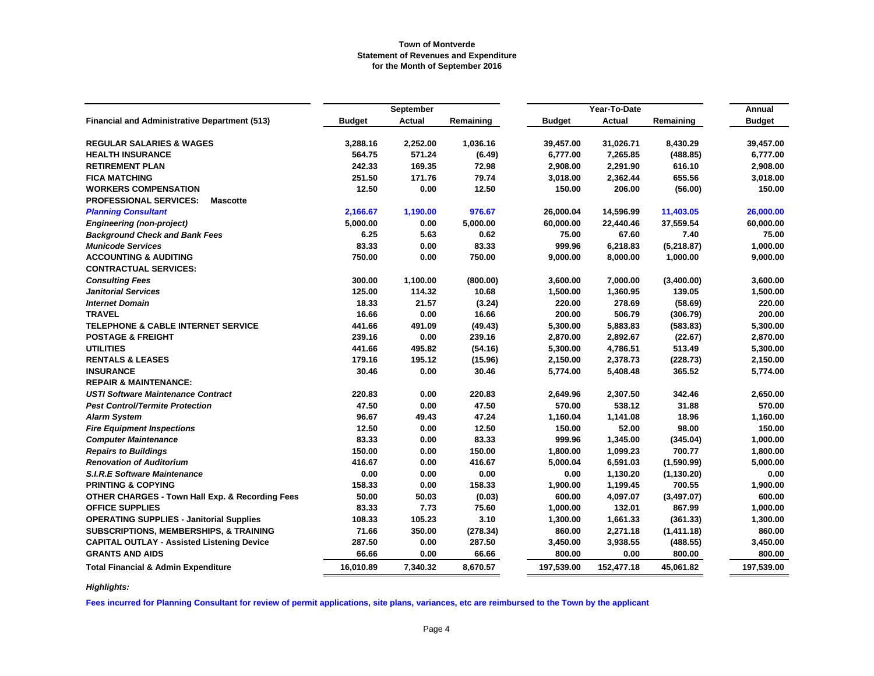|                                                            |               | September     |           |               | Year-To-Date |             | Annual        |
|------------------------------------------------------------|---------------|---------------|-----------|---------------|--------------|-------------|---------------|
| <b>Financial and Administrative Department (513)</b>       | <b>Budget</b> | <b>Actual</b> | Remaining | <b>Budget</b> | Actual       | Remaining   | <b>Budget</b> |
|                                                            |               |               |           |               |              |             |               |
| <b>REGULAR SALARIES &amp; WAGES</b>                        | 3.288.16      | 2,252.00      | 1.036.16  | 39,457.00     | 31,026.71    | 8,430.29    | 39.457.00     |
| <b>HEALTH INSURANCE</b>                                    | 564.75        | 571.24        | (6.49)    | 6,777.00      | 7,265.85     | (488.85)    | 6,777.00      |
| <b>RETIREMENT PLAN</b>                                     | 242.33        | 169.35        | 72.98     | 2,908.00      | 2,291.90     | 616.10      | 2,908.00      |
| <b>FICA MATCHING</b>                                       | 251.50        | 171.76        | 79.74     | 3,018.00      | 2,362.44     | 655.56      | 3,018.00      |
| <b>WORKERS COMPENSATION</b>                                | 12.50         | 0.00          | 12.50     | 150.00        | 206.00       | (56.00)     | 150.00        |
| <b>PROFESSIONAL SERVICES:</b><br><b>Mascotte</b>           |               |               |           |               |              |             |               |
| <b>Planning Consultant</b>                                 | 2,166.67      | 1,190.00      | 976.67    | 26,000.04     | 14,596.99    | 11,403.05   | 26,000.00     |
| <b>Engineering (non-project)</b>                           | 5,000.00      | 0.00          | 5,000.00  | 60,000.00     | 22,440.46    | 37,559.54   | 60,000.00     |
| <b>Background Check and Bank Fees</b>                      | 6.25          | 5.63          | 0.62      | 75.00         | 67.60        | 7.40        | 75.00         |
| <b>Municode Services</b>                                   | 83.33         | 0.00          | 83.33     | 999.96        | 6,218.83     | (5,218.87)  | 1,000.00      |
| <b>ACCOUNTING &amp; AUDITING</b>                           | 750.00        | 0.00          | 750.00    | 9,000.00      | 8,000.00     | 1,000.00    | 9,000.00      |
| <b>CONTRACTUAL SERVICES:</b>                               |               |               |           |               |              |             |               |
| <b>Consulting Fees</b>                                     | 300.00        | 1,100.00      | (800.00)  | 3,600.00      | 7,000.00     | (3,400.00)  | 3,600.00      |
| <b>Janitorial Services</b>                                 | 125.00        | 114.32        | 10.68     | 1,500.00      | 1,360.95     | 139.05      | 1,500.00      |
| <b>Internet Domain</b>                                     | 18.33         | 21.57         | (3.24)    | 220.00        | 278.69       | (58.69)     | 220.00        |
| <b>TRAVEL</b>                                              | 16.66         | 0.00          | 16.66     | 200.00        | 506.79       | (306.79)    | 200.00        |
| <b>TELEPHONE &amp; CABLE INTERNET SERVICE</b>              | 441.66        | 491.09        | (49.43)   | 5,300.00      | 5,883.83     | (583.83)    | 5,300.00      |
| <b>POSTAGE &amp; FREIGHT</b>                               | 239.16        | 0.00          | 239.16    | 2,870.00      | 2,892.67     | (22.67)     | 2,870.00      |
| <b>UTILITIES</b>                                           | 441.66        | 495.82        | (54.16)   | 5,300.00      | 4,786.51     | 513.49      | 5,300.00      |
| <b>RENTALS &amp; LEASES</b>                                | 179.16        | 195.12        | (15.96)   | 2,150.00      | 2,378.73     | (228.73)    | 2,150.00      |
| <b>INSURANCE</b>                                           | 30.46         | 0.00          | 30.46     | 5,774.00      | 5,408.48     | 365.52      | 5,774.00      |
| <b>REPAIR &amp; MAINTENANCE:</b>                           |               |               |           |               |              |             |               |
| <b>USTI Software Maintenance Contract</b>                  | 220.83        | 0.00          | 220.83    | 2,649.96      | 2,307.50     | 342.46      | 2,650.00      |
| <b>Pest Control/Termite Protection</b>                     | 47.50         | 0.00          | 47.50     | 570.00        | 538.12       | 31.88       | 570.00        |
| <b>Alarm System</b>                                        | 96.67         | 49.43         | 47.24     | 1,160.04      | 1,141.08     | 18.96       | 1,160.00      |
| <b>Fire Equipment Inspections</b>                          | 12.50         | 0.00          | 12.50     | 150.00        | 52.00        | 98.00       | 150.00        |
| <b>Computer Maintenance</b>                                | 83.33         | 0.00          | 83.33     | 999.96        | 1,345.00     | (345.04)    | 1,000.00      |
| <b>Repairs to Buildings</b>                                | 150.00        | 0.00          | 150.00    | 1,800.00      | 1,099.23     | 700.77      | 1,800.00      |
| <b>Renovation of Auditorium</b>                            | 416.67        | 0.00          | 416.67    | 5,000.04      | 6,591.03     | (1,590.99)  | 5,000.00      |
| <b>S.I.R.E Software Maintenance</b>                        | 0.00          | 0.00          | 0.00      | 0.00          | 1,130.20     | (1, 130.20) | 0.00          |
| <b>PRINTING &amp; COPYING</b>                              | 158.33        | 0.00          | 158.33    | 1,900.00      | 1,199.45     | 700.55      | 1,900.00      |
| <b>OTHER CHARGES - Town Hall Exp. &amp; Recording Fees</b> | 50.00         | 50.03         | (0.03)    | 600.00        | 4,097.07     | (3, 497.07) | 600.00        |
| <b>OFFICE SUPPLIES</b>                                     | 83.33         | 7.73          | 75.60     | 1,000.00      | 132.01       | 867.99      | 1,000.00      |
| <b>OPERATING SUPPLIES - Janitorial Supplies</b>            | 108.33        | 105.23        | 3.10      | 1,300.00      | 1,661.33     | (361.33)    | 1,300.00      |
| <b>SUBSCRIPTIONS, MEMBERSHIPS, &amp; TRAINING</b>          | 71.66         | 350.00        | (278.34)  | 860.00        | 2,271.18     | (1,411.18)  | 860.00        |
| <b>CAPITAL OUTLAY - Assisted Listening Device</b>          | 287.50        | 0.00          | 287.50    | 3,450.00      | 3,938.55     | (488.55)    | 3,450.00      |
| <b>GRANTS AND AIDS</b>                                     | 66.66         | 0.00          | 66.66     | 800.00        | 0.00         | 800.00      | 800.00        |
| <b>Total Financial &amp; Admin Expenditure</b>             | 16,010.89     | 7,340.32      | 8,670.57  | 197,539.00    | 152,477.18   | 45,061.82   | 197,539.00    |

*Highlights:*

**Fees incurred for Planning Consultant for review of permit applications, site plans, variances, etc are reimbursed to the Town by the applicant**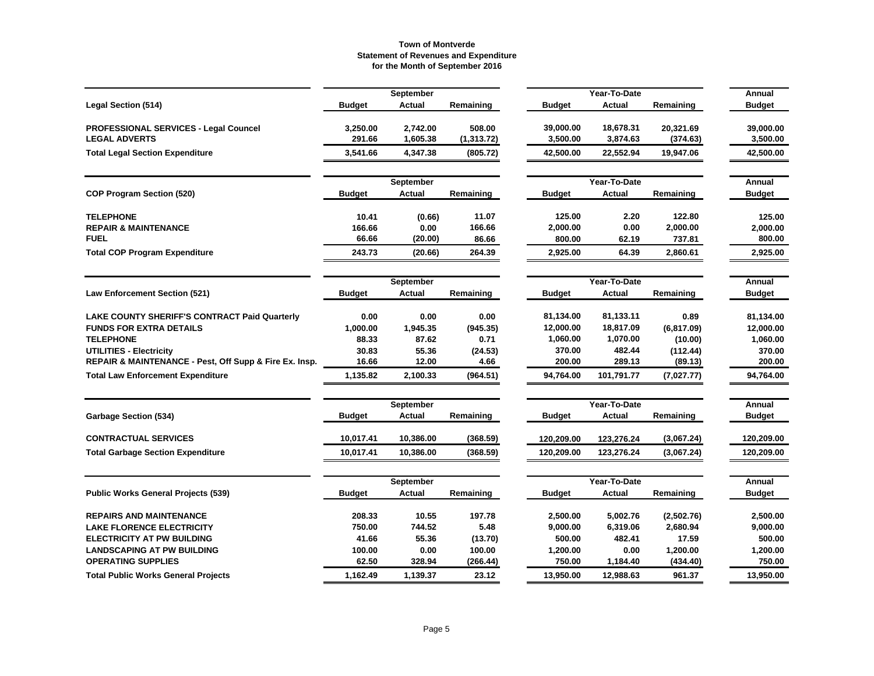|                                                        |               | September     |             |               | Year-To-Date |            | Annual        |
|--------------------------------------------------------|---------------|---------------|-------------|---------------|--------------|------------|---------------|
| <b>Legal Section (514)</b>                             | <b>Budget</b> | Actual        | Remaining   | <b>Budget</b> | Actual       | Remaining  | <b>Budget</b> |
| PROFESSIONAL SERVICES - Legal Councel                  | 3,250.00      | 2,742.00      | 508.00      | 39,000.00     | 18,678.31    | 20,321.69  | 39,000.00     |
| <b>LEGAL ADVERTS</b>                                   | 291.66        | 1,605.38      | (1, 313.72) | 3,500.00      | 3,874.63     | (374.63)   | 3,500.00      |
| <b>Total Legal Section Expenditure</b>                 | 3,541.66      | 4,347.38      | (805.72)    | 42,500.00     | 22,552.94    | 19,947.06  | 42,500.00     |
|                                                        |               | September     |             |               | Year-To-Date |            | Annual        |
| <b>COP Program Section (520)</b>                       | <b>Budget</b> | Actual        | Remaining   | <b>Budget</b> | Actual       | Remaining  | <b>Budget</b> |
| <b>TELEPHONE</b>                                       | 10.41         | (0.66)        | 11.07       | 125.00        | 2.20         | 122.80     | 125.00        |
| <b>REPAIR &amp; MAINTENANCE</b>                        | 166.66        | 0.00          | 166.66      | 2,000.00      | 0.00         | 2,000.00   | 2,000.00      |
| <b>FUEL</b>                                            | 66.66         | (20.00)       | 86.66       | 800.00        | 62.19        | 737.81     | 800.00        |
| <b>Total COP Program Expenditure</b>                   | 243.73        | (20.66)       | 264.39      | 2,925.00      | 64.39        | 2,860.61   | 2,925.00      |
|                                                        |               | September     |             |               | Year-To-Date |            | Annual        |
| <b>Law Enforcement Section (521)</b>                   | <b>Budget</b> | <b>Actual</b> | Remaining   | <b>Budget</b> | Actual       | Remaining  | <b>Budget</b> |
| LAKE COUNTY SHERIFF'S CONTRACT Paid Quarterly          | 0.00          | 0.00          | 0.00        | 81,134.00     | 81,133.11    | 0.89       | 81,134.00     |
| <b>FUNDS FOR EXTRA DETAILS</b>                         | 1,000.00      | 1,945.35      | (945.35)    | 12,000.00     | 18,817.09    | (6,817.09) | 12,000.00     |
| <b>TELEPHONE</b>                                       | 88.33         | 87.62         | 0.71        | 1,060.00      | 1,070.00     | (10.00)    | 1,060.00      |
| UTILITIES - Electricity                                | 30.83         | 55.36         | (24.53)     | 370.00        | 482.44       | (112.44)   | 370.00        |
| REPAIR & MAINTENANCE - Pest, Off Supp & Fire Ex. Insp. | 16.66         | 12.00         | 4.66        | 200.00        | 289.13       | (89.13)    | 200.00        |
| <b>Total Law Enforcement Expenditure</b>               | 1,135.82      | 2,100.33      | (964.51)    | 94,764.00     | 101,791.77   | (7,027.77) | 94,764.00     |
|                                                        |               | September     |             |               | Year-To-Date |            | Annual        |
| <b>Garbage Section (534)</b>                           | <b>Budget</b> | Actual        | Remaining   | <b>Budget</b> | Actual       | Remaining  | <b>Budget</b> |
| <b>CONTRACTUAL SERVICES</b>                            | 10,017.41     | 10,386.00     | (368.59)    | 120,209.00    | 123,276.24   | (3,067.24) | 120,209.00    |
| <b>Total Garbage Section Expenditure</b>               | 10,017.41     | 10,386.00     | (368.59)    | 120,209.00    | 123,276.24   | (3,067.24) | 120,209.00    |
|                                                        |               |               |             |               |              |            |               |
| <b>Public Works General Projects (539)</b>             |               | September     |             |               | Year-To-Date |            | Annual        |
|                                                        | <b>Budget</b> | Actual        | Remaining   | <b>Budget</b> | Actual       | Remaining  | <b>Budget</b> |
| <b>REPAIRS AND MAINTENANCE</b>                         | 208.33        | 10.55         | 197.78      | 2,500.00      | 5,002.76     | (2,502.76) | 2,500.00      |
| <b>LAKE FLORENCE ELECTRICITY</b>                       | 750.00        | 744.52        | 5.48        | 9,000.00      | 6,319.06     | 2,680.94   | 9,000.00      |
| <b>ELECTRICITY AT PW BUILDING</b>                      | 41.66         | 55.36         | (13.70)     | 500.00        | 482.41       | 17.59      | 500.00        |
| <b>LANDSCAPING AT PW BUILDING</b>                      | 100.00        | 0.00          | 100.00      | 1,200.00      | 0.00         | 1,200.00   | 1,200.00      |
| <b>OPERATING SUPPLIES</b>                              | 62.50         | 328.94        | (266.44)    | 750.00        | 1,184.40     | (434.40)   | 750.00        |
| <b>Total Public Works General Projects</b>             | 1,162.49      | 1,139.37      | 23.12       | 13,950.00     | 12,988.63    | 961.37     | 13,950.00     |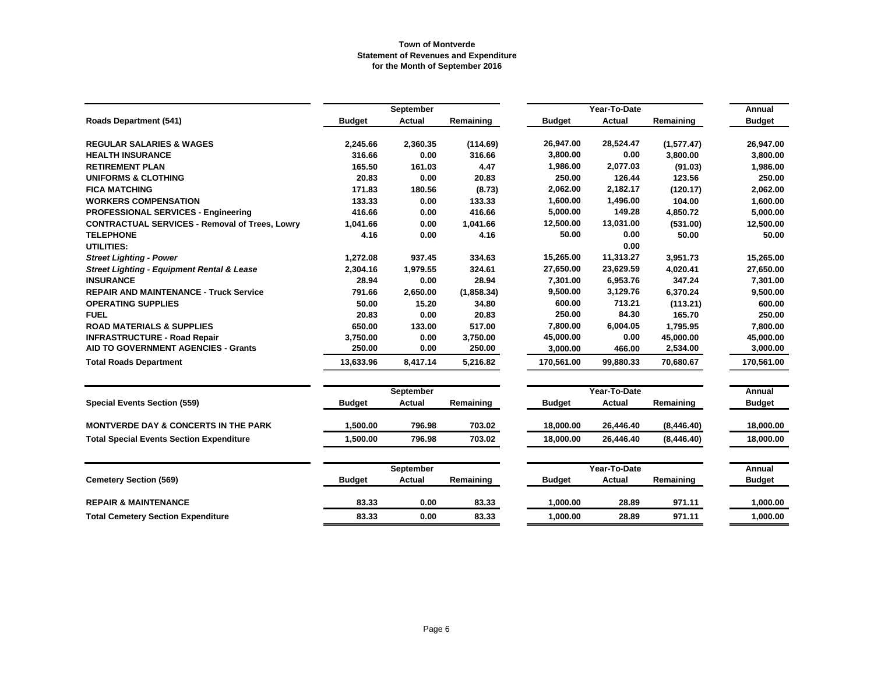|                                                       |               | September     |            |               | Year-To-Date  |             | Annual        |
|-------------------------------------------------------|---------------|---------------|------------|---------------|---------------|-------------|---------------|
| <b>Roads Department (541)</b>                         | <b>Budget</b> | <b>Actual</b> | Remaining  | <b>Budget</b> | Actual        | Remaining   | <b>Budget</b> |
|                                                       |               |               |            |               |               |             |               |
| <b>REGULAR SALARIES &amp; WAGES</b>                   | 2,245.66      | 2,360.35      | (114.69)   | 26,947.00     | 28,524.47     | (1, 577.47) | 26,947.00     |
| <b>HEALTH INSURANCE</b>                               | 316.66        | 0.00          | 316.66     | 3,800.00      | 0.00          | 3,800.00    | 3,800.00      |
| <b>RETIREMENT PLAN</b>                                | 165.50        | 161.03        | 4.47       | 1,986.00      | 2,077.03      | (91.03)     | 1,986.00      |
| <b>UNIFORMS &amp; CLOTHING</b>                        | 20.83         | 0.00          | 20.83      | 250.00        | 126.44        | 123.56      | 250.00        |
| <b>FICA MATCHING</b>                                  | 171.83        | 180.56        | (8.73)     | 2,062.00      | 2,182.17      | (120.17)    | 2,062.00      |
| <b>WORKERS COMPENSATION</b>                           | 133.33        | 0.00          | 133.33     | 1,600.00      | 1,496.00      | 104.00      | 1,600.00      |
| <b>PROFESSIONAL SERVICES - Engineering</b>            | 416.66        | 0.00          | 416.66     | 5,000.00      | 149.28        | 4,850.72    | 5,000.00      |
| <b>CONTRACTUAL SERVICES - Removal of Trees, Lowry</b> | 1,041.66      | 0.00          | 1,041.66   | 12,500.00     | 13,031.00     | (531.00)    | 12,500.00     |
| <b>TELEPHONE</b>                                      | 4.16          | 0.00          | 4.16       | 50.00         | 0.00          | 50.00       | 50.00         |
| <b>UTILITIES:</b>                                     |               |               |            |               | 0.00          |             |               |
| <b>Street Lighting - Power</b>                        | 1,272.08      | 937.45        | 334.63     | 15,265.00     | 11,313.27     | 3,951.73    | 15,265.00     |
| <b>Street Lighting - Equipment Rental &amp; Lease</b> | 2,304.16      | 1,979.55      | 324.61     | 27,650.00     | 23,629.59     | 4,020.41    | 27,650.00     |
| <b>INSURANCE</b>                                      | 28.94         | 0.00          | 28.94      | 7,301.00      | 6,953.76      | 347.24      | 7,301.00      |
| <b>REPAIR AND MAINTENANCE - Truck Service</b>         | 791.66        | 2,650.00      | (1,858.34) | 9,500.00      | 3,129.76      | 6,370.24    | 9,500.00      |
| <b>OPERATING SUPPLIES</b>                             | 50.00         | 15.20         | 34.80      | 600.00        | 713.21        | (113.21)    | 600.00        |
| <b>FUEL</b>                                           | 20.83         | 0.00          | 20.83      | 250.00        | 84.30         | 165.70      | 250.00        |
| <b>ROAD MATERIALS &amp; SUPPLIES</b>                  | 650.00        | 133.00        | 517.00     | 7,800.00      | 6,004.05      | 1,795.95    | 7,800.00      |
| <b>INFRASTRUCTURE - Road Repair</b>                   | 3,750.00      | 0.00          | 3,750.00   | 45,000.00     | 0.00          | 45,000.00   | 45,000.00     |
| <b>AID TO GOVERNMENT AGENCIES - Grants</b>            | 250.00        | 0.00          | 250.00     | 3,000.00      | 466.00        | 2,534.00    | 3,000.00      |
| <b>Total Roads Department</b>                         | 13,633.96     | 8,417.14      | 5,216.82   | 170,561.00    | 99,880.33     | 70,680.67   | 170,561.00    |
|                                                       |               | September     |            |               | Year-To-Date  |             | Annual        |
| <b>Special Events Section (559)</b>                   | <b>Budget</b> | <b>Actual</b> | Remaining  | <b>Budget</b> | <b>Actual</b> | Remaining   | <b>Budget</b> |
|                                                       |               |               |            |               |               |             |               |
| <b>MONTVERDE DAY &amp; CONCERTS IN THE PARK</b>       | 1,500.00      | 796.98        | 703.02     | 18,000.00     | 26,446.40     | (8,446.40)  | 18,000.00     |
| <b>Total Special Events Section Expenditure</b>       | 1.500.00      | 796.98        | 703.02     | 18,000.00     | 26,446.40     | (8,446.40)  | 18,000.00     |
|                                                       |               | September     |            |               | Year-To-Date  |             | Annual        |
| <b>Cemetery Section (569)</b>                         | <b>Budget</b> | <b>Actual</b> | Remaining  | <b>Budget</b> | <b>Actual</b> | Remaining   | <b>Budget</b> |
| <b>REPAIR &amp; MAINTENANCE</b>                       | 83.33         | 0.00          | 83.33      | 1,000.00      | 28.89         | 971.11      | 1,000.00      |
| <b>Total Cemetery Section Expenditure</b>             | 83.33         | 0.00          | 83.33      | 1,000.00      | 28.89         | 971.11      | 1,000.00      |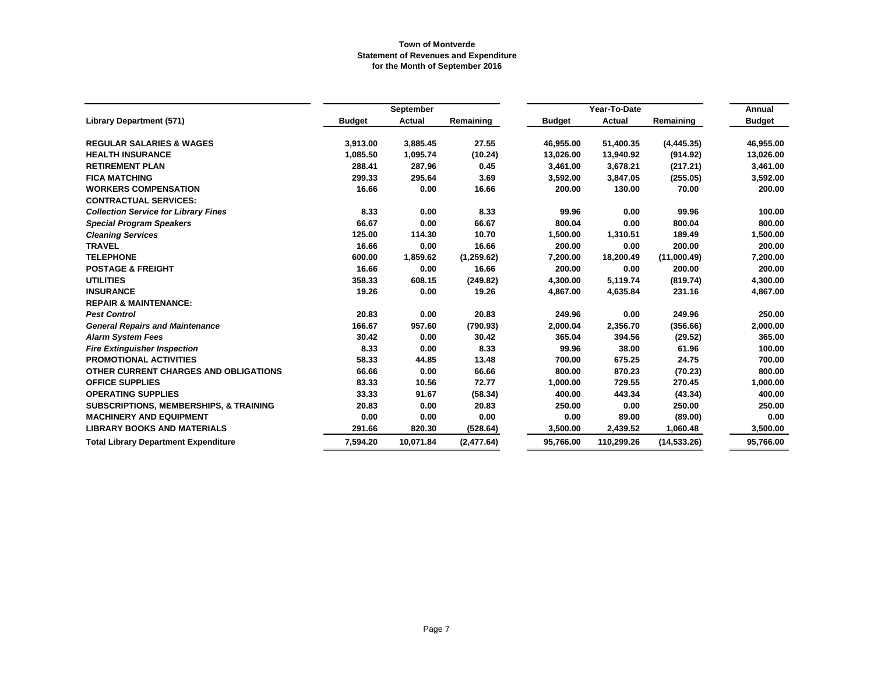|                                                   |               | September     |             |               | Year-To-Date |              | Annual        |
|---------------------------------------------------|---------------|---------------|-------------|---------------|--------------|--------------|---------------|
| <b>Library Department (571)</b>                   | <b>Budget</b> | <b>Actual</b> | Remaining   | <b>Budget</b> | Actual       | Remaining    | <b>Budget</b> |
| <b>REGULAR SALARIES &amp; WAGES</b>               | 3,913.00      | 3,885.45      | 27.55       | 46,955.00     | 51,400.35    | (4, 445.35)  | 46,955.00     |
| <b>HEALTH INSURANCE</b>                           | 1,085.50      | 1,095.74      | (10.24)     | 13,026.00     | 13,940.92    | (914.92)     | 13,026.00     |
| <b>RETIREMENT PLAN</b>                            | 288.41        | 287.96        | 0.45        | 3,461.00      | 3,678.21     | (217.21)     | 3,461.00      |
| <b>FICA MATCHING</b>                              | 299.33        | 295.64        | 3.69        | 3,592.00      | 3,847.05     | (255.05)     | 3,592.00      |
| <b>WORKERS COMPENSATION</b>                       | 16.66         | 0.00          | 16.66       | 200.00        | 130.00       | 70.00        | 200.00        |
| <b>CONTRACTUAL SERVICES:</b>                      |               |               |             |               |              |              |               |
| <b>Collection Service for Library Fines</b>       | 8.33          | 0.00          | 8.33        | 99.96         | 0.00         | 99.96        | 100.00        |
| <b>Special Program Speakers</b>                   | 66.67         | 0.00          | 66.67       | 800.04        | 0.00         | 800.04       | 800.00        |
| <b>Cleaning Services</b>                          | 125.00        | 114.30        | 10.70       | 1,500.00      | 1,310.51     | 189.49       | 1,500.00      |
| <b>TRAVEL</b>                                     | 16.66         | 0.00          | 16.66       | 200.00        | 0.00         | 200.00       | 200.00        |
| <b>TELEPHONE</b>                                  | 600.00        | 1,859.62      | (1, 259.62) | 7,200.00      | 18,200.49    | (11,000.49)  | 7,200.00      |
| <b>POSTAGE &amp; FREIGHT</b>                      | 16.66         | 0.00          | 16.66       | 200.00        | 0.00         | 200.00       | 200.00        |
| <b>UTILITIES</b>                                  | 358.33        | 608.15        | (249.82)    | 4,300.00      | 5,119.74     | (819.74)     | 4,300.00      |
| <b>INSURANCE</b>                                  | 19.26         | 0.00          | 19.26       | 4,867.00      | 4,635.84     | 231.16       | 4,867.00      |
| <b>REPAIR &amp; MAINTENANCE:</b>                  |               |               |             |               |              |              |               |
| <b>Pest Control</b>                               | 20.83         | 0.00          | 20.83       | 249.96        | 0.00         | 249.96       | 250.00        |
| <b>General Repairs and Maintenance</b>            | 166.67        | 957.60        | (790.93)    | 2,000.04      | 2,356.70     | (356.66)     | 2,000.00      |
| <b>Alarm System Fees</b>                          | 30.42         | 0.00          | 30.42       | 365.04        | 394.56       | (29.52)      | 365.00        |
| <b>Fire Extinguisher Inspection</b>               | 8.33          | 0.00          | 8.33        | 99.96         | 38.00        | 61.96        | 100.00        |
| <b>PROMOTIONAL ACTIVITIES</b>                     | 58.33         | 44.85         | 13.48       | 700.00        | 675.25       | 24.75        | 700.00        |
| OTHER CURRENT CHARGES AND OBLIGATIONS             | 66.66         | 0.00          | 66.66       | 800.00        | 870.23       | (70.23)      | 800.00        |
| <b>OFFICE SUPPLIES</b>                            | 83.33         | 10.56         | 72.77       | 1,000.00      | 729.55       | 270.45       | 1,000.00      |
| <b>OPERATING SUPPLIES</b>                         | 33.33         | 91.67         | (58.34)     | 400.00        | 443.34       | (43.34)      | 400.00        |
| <b>SUBSCRIPTIONS, MEMBERSHIPS, &amp; TRAINING</b> | 20.83         | 0.00          | 20.83       | 250.00        | 0.00         | 250.00       | 250.00        |
| <b>MACHINERY AND EQUIPMENT</b>                    | 0.00          | 0.00          | 0.00        | 0.00          | 89.00        | (89.00)      | 0.00          |
| <b>LIBRARY BOOKS AND MATERIALS</b>                | 291.66        | 820.30        | (528.64)    | 3,500.00      | 2,439.52     | 1,060.48     | 3,500.00      |
| <b>Total Library Department Expenditure</b>       | 7,594.20      | 10,071.84     | (2,477.64)  | 95,766.00     | 110,299.26   | (14, 533.26) | 95,766.00     |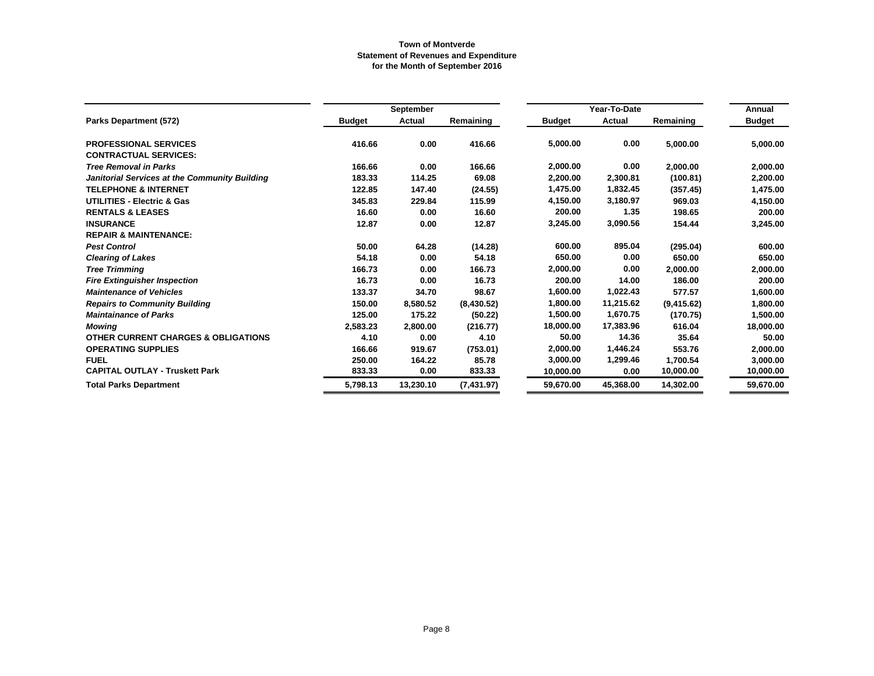|                                                |               | September |            |               | Annual                 |            |               |
|------------------------------------------------|---------------|-----------|------------|---------------|------------------------|------------|---------------|
| <b>Parks Department (572)</b>                  | <b>Budget</b> | Actual    | Remaining  | <b>Budget</b> | Year-To-Date<br>Actual | Remaining  | <b>Budget</b> |
| <b>PROFESSIONAL SERVICES</b>                   | 416.66        | 0.00      | 416.66     | 5,000.00      | 0.00                   | 5,000.00   | 5,000.00      |
| <b>CONTRACTUAL SERVICES:</b>                   |               |           |            |               |                        |            |               |
| <b>Tree Removal in Parks</b>                   | 166.66        | 0.00      | 166.66     | 2,000.00      | 0.00                   | 2,000.00   | 2,000.00      |
| Janitorial Services at the Community Building  | 183.33        | 114.25    | 69.08      | 2,200.00      | 2,300.81               | (100.81)   | 2,200.00      |
| <b>TELEPHONE &amp; INTERNET</b>                | 122.85        | 147.40    | (24.55)    | 1,475.00      | 1,832.45               | (357.45)   | 1,475.00      |
| <b>UTILITIES - Electric &amp; Gas</b>          | 345.83        | 229.84    | 115.99     | 4,150.00      | 3,180.97               | 969.03     | 4,150.00      |
| <b>RENTALS &amp; LEASES</b>                    | 16.60         | 0.00      | 16.60      | 200.00        | 1.35                   | 198.65     | 200.00        |
| <b>INSURANCE</b>                               | 12.87         | 0.00      | 12.87      | 3,245.00      | 3,090.56               | 154.44     | 3,245.00      |
| <b>REPAIR &amp; MAINTENANCE:</b>               |               |           |            |               |                        |            |               |
| <b>Pest Control</b>                            | 50.00         | 64.28     | (14.28)    | 600.00        | 895.04                 | (295.04)   | 600.00        |
| <b>Clearing of Lakes</b>                       | 54.18         | 0.00      | 54.18      | 650.00        | 0.00                   | 650.00     | 650.00        |
| <b>Tree Trimming</b>                           | 166.73        | 0.00      | 166.73     | 2,000.00      | 0.00                   | 2,000.00   | 2,000.00      |
| <b>Fire Extinguisher Inspection</b>            | 16.73         | 0.00      | 16.73      | 200.00        | 14.00                  | 186.00     | 200.00        |
| <b>Maintenance of Vehicles</b>                 | 133.37        | 34.70     | 98.67      | 1,600.00      | 1,022.43               | 577.57     | 1,600.00      |
| <b>Repairs to Community Building</b>           | 150.00        | 8.580.52  | (8,430.52) | 1,800.00      | 11,215.62              | (9,415.62) | 1,800.00      |
| <b>Maintainance of Parks</b>                   | 125.00        | 175.22    | (50.22)    | 1,500.00      | 1,670.75               | (170.75)   | 1,500.00      |
| <b>Mowing</b>                                  | 2,583.23      | 2,800.00  | (216.77)   | 18,000.00     | 17,383.96              | 616.04     | 18,000.00     |
| <b>OTHER CURRENT CHARGES &amp; OBLIGATIONS</b> | 4.10          | 0.00      | 4.10       | 50.00         | 14.36                  | 35.64      | 50.00         |
| <b>OPERATING SUPPLIES</b>                      | 166.66        | 919.67    | (753.01)   | 2,000.00      | 1,446.24               | 553.76     | 2,000.00      |
| <b>FUEL</b>                                    | 250.00        | 164.22    | 85.78      | 3,000.00      | 1,299.46               | 1,700.54   | 3,000.00      |
| <b>CAPITAL OUTLAY - Truskett Park</b>          | 833.33        | 0.00      | 833.33     | 10,000.00     | 0.00                   | 10,000.00  | 10,000.00     |
| <b>Total Parks Department</b>                  | 5,798.13      | 13,230.10 | (7,431.97) | 59,670.00     | 45,368.00              | 14,302.00  | 59,670.00     |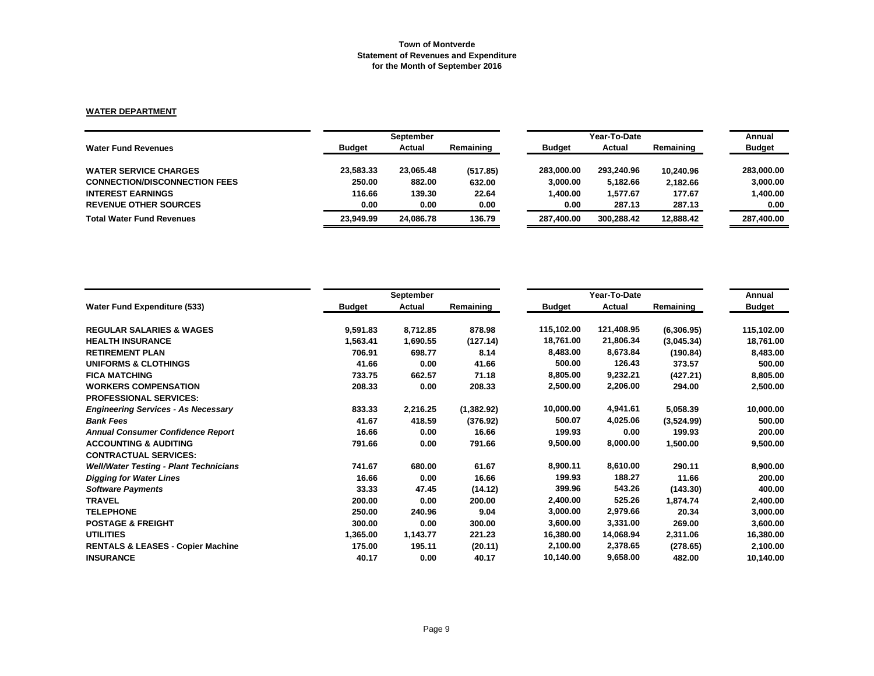# **WATER DEPARTMENT**

|               | September |           |               | Year-To-Date |           | Annual        |
|---------------|-----------|-----------|---------------|--------------|-----------|---------------|
| <b>Budget</b> | Actual    | Remaining | <b>Budget</b> | Actual       | Remaining | <b>Budget</b> |
| 23,583.33     | 23,065.48 | (517.85)  | 283.000.00    | 293,240.96   | 10,240.96 | 283,000.00    |
| 250.00        | 882.00    | 632.00    | 3,000.00      | 5,182.66     | 2.182.66  | 3,000.00      |
| 116.66        | 139.30    | 22.64     | 1.400.00      | 1.577.67     | 177.67    | 1.400.00      |
| 0.00          | 0.00      | 0.00      | 0.00          | 287.13       | 287.13    | 0.00          |
| 23.949.99     | 24.086.78 | 136.79    | 287.400.00    | 300.288.42   | 12.888.42 | 287.400.00    |
|               |           |           |               |              |           |               |

|                                               | September     |          |            |               | Annual     |            |               |
|-----------------------------------------------|---------------|----------|------------|---------------|------------|------------|---------------|
| <b>Water Fund Expenditure (533)</b>           | <b>Budget</b> | Actual   | Remaining  | <b>Budget</b> | Actual     | Remaining  | <b>Budget</b> |
| <b>REGULAR SALARIES &amp; WAGES</b>           | 9,591.83      | 8,712.85 | 878.98     | 115,102.00    | 121,408.95 | (6,306.95) | 115,102.00    |
| <b>HEALTH INSURANCE</b>                       | 1,563.41      | 1,690.55 | (127.14)   | 18,761.00     | 21,806.34  | (3,045.34) | 18,761.00     |
| <b>RETIREMENT PLAN</b>                        | 706.91        | 698.77   | 8.14       | 8,483.00      | 8,673.84   | (190.84)   | 8,483.00      |
| <b>UNIFORMS &amp; CLOTHINGS</b>               | 41.66         | 0.00     | 41.66      | 500.00        | 126.43     | 373.57     | 500.00        |
| <b>FICA MATCHING</b>                          | 733.75        | 662.57   | 71.18      | 8,805.00      | 9,232.21   | (427.21)   | 8,805.00      |
| <b>WORKERS COMPENSATION</b>                   | 208.33        | 0.00     | 208.33     | 2,500.00      | 2,206.00   | 294.00     | 2,500.00      |
| <b>PROFESSIONAL SERVICES:</b>                 |               |          |            |               |            |            |               |
| <b>Engineering Services - As Necessary</b>    | 833.33        | 2,216.25 | (1,382.92) | 10,000.00     | 4,941.61   | 5,058.39   | 10,000.00     |
| <b>Bank Fees</b>                              | 41.67         | 418.59   | (376.92)   | 500.07        | 4,025.06   | (3,524.99) | 500.00        |
| <b>Annual Consumer Confidence Report</b>      | 16.66         | 0.00     | 16.66      | 199.93        | 0.00       | 199.93     | 200.00        |
| <b>ACCOUNTING &amp; AUDITING</b>              | 791.66        | 0.00     | 791.66     | 9,500.00      | 8,000.00   | 1,500.00   | 9,500.00      |
| <b>CONTRACTUAL SERVICES:</b>                  |               |          |            |               |            |            |               |
| <b>Well/Water Testing - Plant Technicians</b> | 741.67        | 680.00   | 61.67      | 8,900.11      | 8,610.00   | 290.11     | 8,900.00      |
| <b>Digging for Water Lines</b>                | 16.66         | 0.00     | 16.66      | 199.93        | 188.27     | 11.66      | 200.00        |
| <b>Software Payments</b>                      | 33.33         | 47.45    | (14.12)    | 399.96        | 543.26     | (143.30)   | 400.00        |
| <b>TRAVEL</b>                                 | 200.00        | 0.00     | 200.00     | 2,400.00      | 525.26     | 1,874.74   | 2,400.00      |
| <b>TELEPHONE</b>                              | 250.00        | 240.96   | 9.04       | 3,000.00      | 2,979.66   | 20.34      | 3,000.00      |
| <b>POSTAGE &amp; FREIGHT</b>                  | 300.00        | 0.00     | 300.00     | 3,600.00      | 3,331.00   | 269.00     | 3,600.00      |
| <b>UTILITIES</b>                              | 1,365.00      | 1,143.77 | 221.23     | 16,380.00     | 14,068.94  | 2,311.06   | 16,380.00     |
| <b>RENTALS &amp; LEASES - Copier Machine</b>  | 175.00        | 195.11   | (20.11)    | 2,100.00      | 2,378.65   | (278.65)   | 2,100.00      |
| <b>INSURANCE</b>                              | 40.17         | 0.00     | 40.17      | 10,140.00     | 9,658.00   | 482.00     | 10,140.00     |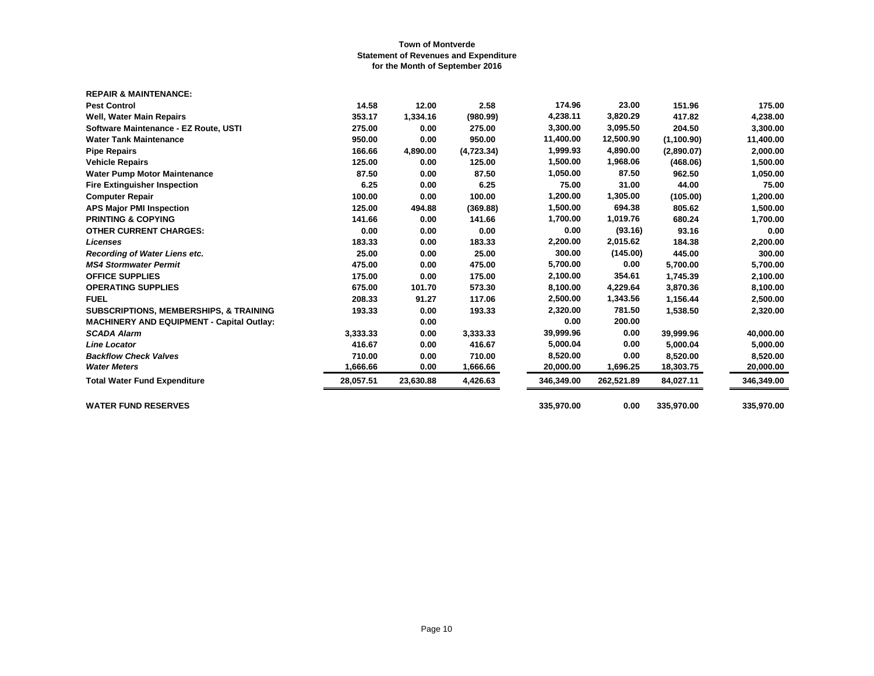| <b>REPAIR &amp; MAINTENANCE:</b>                  |           |           |            |            |            |             |            |
|---------------------------------------------------|-----------|-----------|------------|------------|------------|-------------|------------|
| <b>Pest Control</b>                               | 14.58     | 12.00     | 2.58       | 174.96     | 23.00      | 151.96      | 175.00     |
| Well, Water Main Repairs                          | 353.17    | 1,334.16  | (980.99)   | 4,238.11   | 3,820.29   | 417.82      | 4,238.00   |
| Software Maintenance - EZ Route, USTI             | 275.00    | 0.00      | 275.00     | 3,300.00   | 3,095.50   | 204.50      | 3,300.00   |
| <b>Water Tank Maintenance</b>                     | 950.00    | 0.00      | 950.00     | 11,400.00  | 12,500.90  | (1, 100.90) | 11,400.00  |
| <b>Pipe Repairs</b>                               | 166.66    | 4,890.00  | (4,723.34) | 1,999.93   | 4,890.00   | (2,890.07)  | 2,000.00   |
| <b>Vehicle Repairs</b>                            | 125.00    | 0.00      | 125.00     | 1,500.00   | 1,968.06   | (468.06)    | 1,500.00   |
| <b>Water Pump Motor Maintenance</b>               | 87.50     | 0.00      | 87.50      | 1,050.00   | 87.50      | 962.50      | 1,050.00   |
| <b>Fire Extinguisher Inspection</b>               | 6.25      | 0.00      | 6.25       | 75.00      | 31.00      | 44.00       | 75.00      |
| <b>Computer Repair</b>                            | 100.00    | 0.00      | 100.00     | 1,200.00   | 1,305.00   | (105.00)    | 1,200.00   |
| <b>APS Major PMI Inspection</b>                   | 125.00    | 494.88    | (369.88)   | 1,500.00   | 694.38     | 805.62      | 1,500.00   |
| <b>PRINTING &amp; COPYING</b>                     | 141.66    | 0.00      | 141.66     | 1,700.00   | 1,019.76   | 680.24      | 1,700.00   |
| <b>OTHER CURRENT CHARGES:</b>                     | 0.00      | 0.00      | 0.00       | 0.00       | (93.16)    | 93.16       | 0.00       |
| <b>Licenses</b>                                   | 183.33    | 0.00      | 183.33     | 2,200.00   | 2,015.62   | 184.38      | 2,200.00   |
| Recording of Water Liens etc.                     | 25.00     | 0.00      | 25.00      | 300.00     | (145.00)   | 445.00      | 300.00     |
| <b>MS4 Stormwater Permit</b>                      | 475.00    | 0.00      | 475.00     | 5,700.00   | 0.00       | 5,700.00    | 5,700.00   |
| <b>OFFICE SUPPLIES</b>                            | 175.00    | 0.00      | 175.00     | 2,100.00   | 354.61     | 1,745.39    | 2,100.00   |
| <b>OPERATING SUPPLIES</b>                         | 675.00    | 101.70    | 573.30     | 8,100.00   | 4,229.64   | 3,870.36    | 8,100.00   |
| <b>FUEL</b>                                       | 208.33    | 91.27     | 117.06     | 2,500.00   | 1,343.56   | 1,156.44    | 2,500.00   |
| <b>SUBSCRIPTIONS, MEMBERSHIPS, &amp; TRAINING</b> | 193.33    | 0.00      | 193.33     | 2,320.00   | 781.50     | 1,538.50    | 2,320.00   |
| <b>MACHINERY AND EQUIPMENT - Capital Outlay:</b>  |           | 0.00      |            | 0.00       | 200.00     |             |            |
| <b>SCADA Alarm</b>                                | 3,333.33  | 0.00      | 3,333.33   | 39,999.96  | 0.00       | 39,999.96   | 40,000.00  |
| <b>Line Locator</b>                               | 416.67    | 0.00      | 416.67     | 5,000.04   | 0.00       | 5,000.04    | 5,000.00   |
| <b>Backflow Check Valves</b>                      | 710.00    | 0.00      | 710.00     | 8,520.00   | 0.00       | 8,520.00    | 8,520.00   |
| <b>Water Meters</b>                               | 1,666.66  | 0.00      | 1,666.66   | 20,000.00  | 1,696.25   | 18,303.75   | 20,000.00  |
| <b>Total Water Fund Expenditure</b>               | 28,057.51 | 23,630.88 | 4,426.63   | 346,349.00 | 262,521.89 | 84,027.11   | 346,349.00 |
| <b>WATER FUND RESERVES</b>                        |           |           |            | 335,970.00 | 0.00       | 335,970.00  | 335,970.00 |